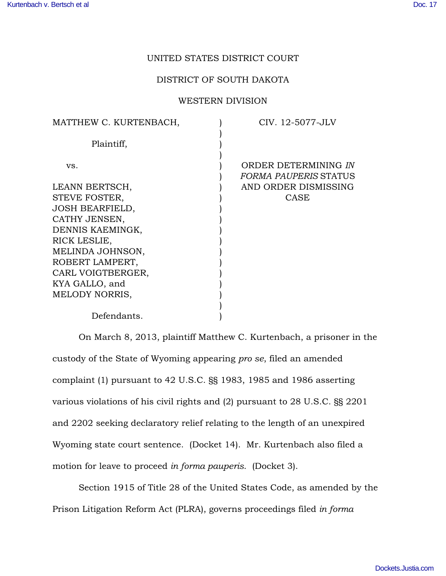## UNITED STATES DISTRICT COURT

## DISTRICT OF SOUTH DAKOTA

## WESTERN DIVISION

| MATTHEW C. KURTENBACH, | CIV. 12-5077-JLV                                     |
|------------------------|------------------------------------------------------|
| Plaintiff,             |                                                      |
| VS.                    | ORDER DETERMINING IN<br><b>FORMA PAUPERIS STATUS</b> |
| LEANN BERTSCH,         | AND ORDER DISMISSING                                 |
| STEVE FOSTER,          | <b>CASE</b>                                          |
| <b>JOSH BEARFIELD,</b> |                                                      |
| CATHY JENSEN,          |                                                      |
| DENNIS KAEMINGK,       |                                                      |
| RICK LESLIE,           |                                                      |
| MELINDA JOHNSON,       |                                                      |
| ROBERT LAMPERT,        |                                                      |
| CARL VOIGTBERGER,      |                                                      |
| KYA GALLO, and         |                                                      |
| MELODY NORRIS,         |                                                      |
|                        |                                                      |
| Defendants.            |                                                      |

On March 8, 2013, plaintiff Matthew C. Kurtenbach, a prisoner in the custody of the State of Wyoming appearing *pro se*, filed an amended complaint (1) pursuant to 42 U.S.C. §§ 1983, 1985 and 1986 asserting various violations of his civil rights and (2) pursuant to 28 U.S.C. §§ 2201 and 2202 seeking declaratory relief relating to the length of an unexpired Wyoming state court sentence. (Docket 14). Mr. Kurtenbach also filed a motion for leave to proceed *in forma pauperis*. (Docket 3).

Section 1915 of Title 28 of the United States Code, as amended by the Prison Litigation Reform Act (PLRA), governs proceedings filed *in forma*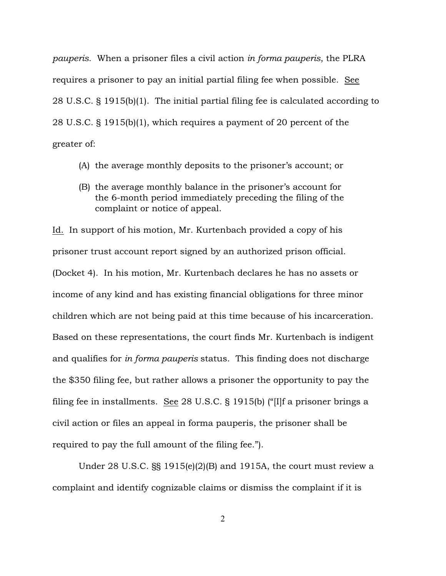*pauperis*. When a prisoner files a civil action *in forma pauperis*, the PLRA requires a prisoner to pay an initial partial filing fee when possible. See 28 U.S.C. § 1915(b)(1). The initial partial filing fee is calculated according to 28 U.S.C. § 1915(b)(1), which requires a payment of 20 percent of the greater of:

- (A) the average monthly deposits to the prisoner's account; or
- (B) the average monthly balance in the prisoner's account for the 6-month period immediately preceding the filing of the complaint or notice of appeal.

Id. In support of his motion, Mr. Kurtenbach provided a copy of his prisoner trust account report signed by an authorized prison official.

(Docket 4). In his motion, Mr. Kurtenbach declares he has no assets or income of any kind and has existing financial obligations for three minor children which are not being paid at this time because of his incarceration. Based on these representations, the court finds Mr. Kurtenbach is indigent and qualifies for *in forma pauperis* status. This finding does not discharge the \$350 filing fee, but rather allows a prisoner the opportunity to pay the filing fee in installments. See 28 U.S.C. § 1915(b) ("[I]f a prisoner brings a civil action or files an appeal in forma pauperis, the prisoner shall be required to pay the full amount of the filing fee.").

Under 28 U.S.C. §§ 1915(e)(2)(B) and 1915A, the court must review a complaint and identify cognizable claims or dismiss the complaint if it is

2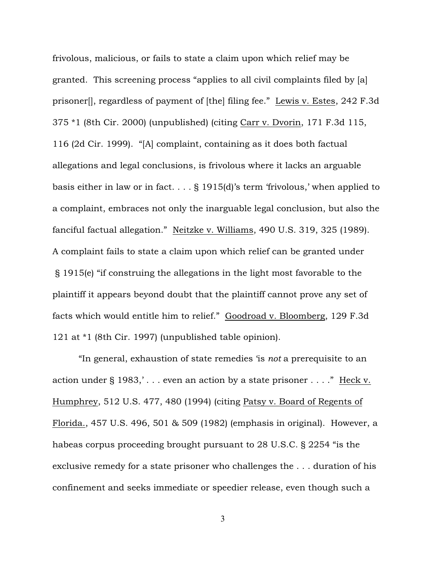frivolous, malicious, or fails to state a claim upon which relief may be granted. This screening process "applies to all civil complaints filed by [a] prisoner[], regardless of payment of [the] filing fee." Lewis v. Estes, 242 F.3d 375 \*1 (8th Cir. 2000) (unpublished) (citing Carr v. Dvorin, 171 F.3d 115, 116 (2d Cir. 1999). "[A] complaint, containing as it does both factual allegations and legal conclusions, is frivolous where it lacks an arguable basis either in law or in fact. . . . § 1915(d)'s term 'frivolous,' when applied to a complaint, embraces not only the inarguable legal conclusion, but also the fanciful factual allegation." Neitzke v. Williams, 490 U.S. 319, 325 (1989). A complaint fails to state a claim upon which relief can be granted under § 1915(e) "if construing the allegations in the light most favorable to the plaintiff it appears beyond doubt that the plaintiff cannot prove any set of facts which would entitle him to relief." Goodroad v. Bloomberg, 129 F.3d 121 at \*1 (8th Cir. 1997) (unpublished table opinion).

"In general, exhaustion of state remedies 'is *not* a prerequisite to an action under  $\S 1983$ ,'... even an action by a state prisoner ...." Heck v. Humphrey, 512 U.S. 477, 480 (1994) (citing Patsy v. Board of Regents of Florida., 457 U.S. 496, 501 & 509 (1982) (emphasis in original). However, a habeas corpus proceeding brought pursuant to 28 U.S.C. § 2254 "is the exclusive remedy for a state prisoner who challenges the . . . duration of his confinement and seeks immediate or speedier release, even though such a

3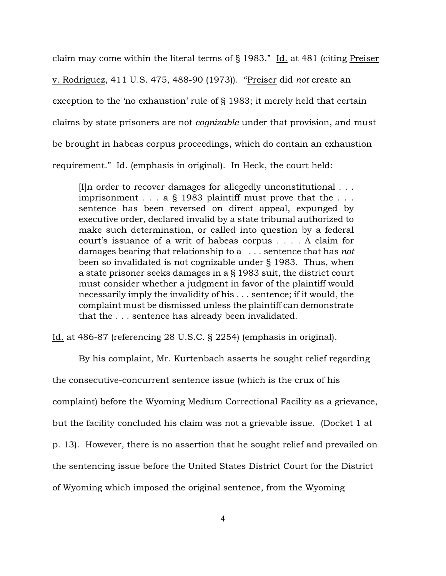claim may come within the literal terms of § 1983." Id. at 481 (citing Preiser

v. Rodriguez, 411 U.S. 475, 488-90 (1973)). "Preiser did *not* create an

exception to the 'no exhaustion' rule of § 1983; it merely held that certain

claims by state prisoners are not *cognizable* under that provision, and must

be brought in habeas corpus proceedings, which do contain an exhaustion

requirement." Id. (emphasis in original). In Heck, the court held:

[I]n order to recover damages for allegedly unconstitutional . . . imprisonment  $\ldots$  a § 1983 plaintiff must prove that the  $\ldots$ sentence has been reversed on direct appeal, expunged by executive order, declared invalid by a state tribunal authorized to make such determination, or called into question by a federal court's issuance of a writ of habeas corpus . . . . A claim for damages bearing that relationship to a . . . sentence that has *not* been so invalidated is not cognizable under § 1983. Thus, when a state prisoner seeks damages in a § 1983 suit, the district court must consider whether a judgment in favor of the plaintiff would necessarily imply the invalidity of his . . . sentence; if it would, the complaint must be dismissed unless the plaintiff can demonstrate that the . . . sentence has already been invalidated.

Id. at 486-87 (referencing 28 U.S.C. § 2254) (emphasis in original).

By his complaint, Mr. Kurtenbach asserts he sought relief regarding the consecutive-concurrent sentence issue (which is the crux of his complaint) before the Wyoming Medium Correctional Facility as a grievance, but the facility concluded his claim was not a grievable issue. (Docket 1 at p. 13). However, there is no assertion that he sought relief and prevailed on the sentencing issue before the United States District Court for the District of Wyoming which imposed the original sentence, from the Wyoming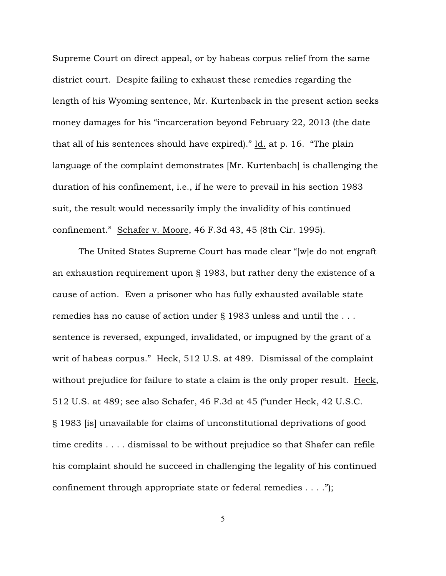Supreme Court on direct appeal, or by habeas corpus relief from the same district court. Despite failing to exhaust these remedies regarding the length of his Wyoming sentence, Mr. Kurtenback in the present action seeks money damages for his "incarceration beyond February 22, 2013 (the date that all of his sentences should have expired)." Id. at p. 16. "The plain language of the complaint demonstrates [Mr. Kurtenbach] is challenging the duration of his confinement, i.e., if he were to prevail in his section 1983 suit, the result would necessarily imply the invalidity of his continued confinement." Schafer v. Moore, 46 F.3d 43, 45 (8th Cir. 1995).

The United States Supreme Court has made clear "[w]e do not engraft an exhaustion requirement upon § 1983, but rather deny the existence of a cause of action. Even a prisoner who has fully exhausted available state remedies has no cause of action under § 1983 unless and until the . . . sentence is reversed, expunged, invalidated, or impugned by the grant of a writ of habeas corpus." Heck, 512 U.S. at 489. Dismissal of the complaint without prejudice for failure to state a claim is the only proper result. Heck, 512 U.S. at 489; see also Schafer, 46 F.3d at 45 ("under Heck, 42 U.S.C. § 1983 [is] unavailable for claims of unconstitutional deprivations of good time credits . . . . dismissal to be without prejudice so that Shafer can refile his complaint should he succeed in challenging the legality of his continued confinement through appropriate state or federal remedies . . . .");

5